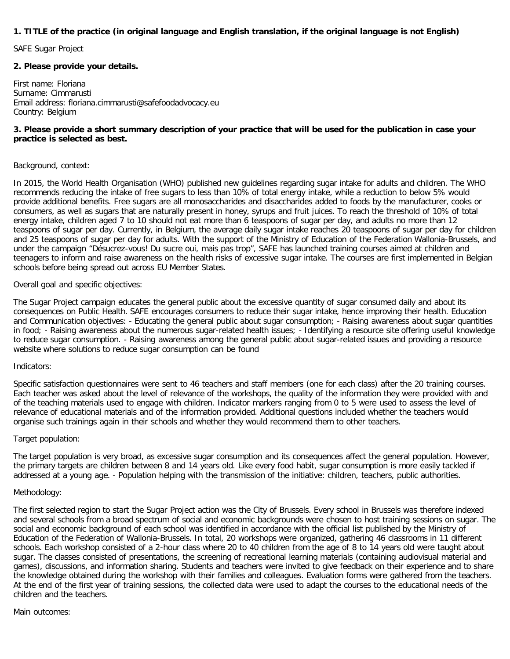# **1. TITLE of the practice (in original language and English translation, if the original language is not English)**

SAFE Sugar Project

## **2. Please provide your details.**

First name: Floriana Surname: Cimmarusti Email address: floriana.cimmarusti@safefoodadvocacy.eu Country: Belgium

# **3. Please provide a short summary description of your practice that will be used for the publication in case your practice is selected as best.**

### Background, context:

In 2015, the World Health Organisation (WHO) published new guidelines regarding sugar intake for adults and children. The WHO recommends reducing the intake of free sugars to less than 10% of total energy intake, while a reduction to below 5% would provide additional benefits. Free sugars are all monosaccharides and disaccharides added to foods by the manufacturer, cooks or consumers, as well as sugars that are naturally present in honey, syrups and fruit juices. To reach the threshold of 10% of total energy intake, children aged 7 to 10 should not eat more than 6 teaspoons of sugar per day, and adults no more than 12 teaspoons of sugar per day. Currently, in Belgium, the average daily sugar intake reaches 20 teaspoons of sugar per day for children and 25 teaspoons of sugar per day for adults. With the support of the Ministry of Education of the Federation Wallonia-Brussels, and under the campaign "Désucrez-vous! Du sucre oui, mais pas trop", SAFE has launched training courses aimed at children and teenagers to inform and raise awareness on the health risks of excessive sugar intake. The courses are first implemented in Belgian schools before being spread out across EU Member States.

Overall goal and specific objectives:

The Sugar Project campaign educates the general public about the excessive quantity of sugar consumed daily and about its consequences on Public Health. SAFE encourages consumers to reduce their sugar intake, hence improving their health. Education and Communication objectives: - Educating the general public about sugar consumption; - Raising awareness about sugar quantities in food; - Raising awareness about the numerous sugar-related health issues; - Identifying a resource site offering useful knowledge to reduce sugar consumption. - Raising awareness among the general public about sugar-related issues and providing a resource website where solutions to reduce sugar consumption can be found

#### Indicators:

Specific satisfaction questionnaires were sent to 46 teachers and staff members (one for each class) after the 20 training courses. Each teacher was asked about the level of relevance of the workshops, the quality of the information they were provided with and of the teaching materials used to engage with children. Indicator markers ranging from 0 to 5 were used to assess the level of relevance of educational materials and of the information provided. Additional questions included whether the teachers would organise such trainings again in their schools and whether they would recommend them to other teachers.

## Target population:

The target population is very broad, as excessive sugar consumption and its consequences affect the general population. However, the primary targets are children between 8 and 14 years old. Like every food habit, sugar consumption is more easily tackled if addressed at a young age. - Population helping with the transmission of the initiative: children, teachers, public authorities.

#### Methodology:

The first selected region to start the Sugar Project action was the City of Brussels. Every school in Brussels was therefore indexed and several schools from a broad spectrum of social and economic backgrounds were chosen to host training sessions on sugar. The social and economic background of each school was identified in accordance with the official list published by the Ministry of Education of the Federation of Wallonia-Brussels. In total, 20 workshops were organized, gathering 46 classrooms in 11 different schools. Each workshop consisted of a 2-hour class where 20 to 40 children from the age of 8 to 14 years old were taught about sugar. The classes consisted of presentations, the screening of recreational learning materials (containing audiovisual material and games), discussions, and information sharing. Students and teachers were invited to give feedback on their experience and to share the knowledge obtained during the workshop with their families and colleagues. Evaluation forms were gathered from the teachers. At the end of the first year of training sessions, the collected data were used to adapt the courses to the educational needs of the children and the teachers.

#### Main outcomes: